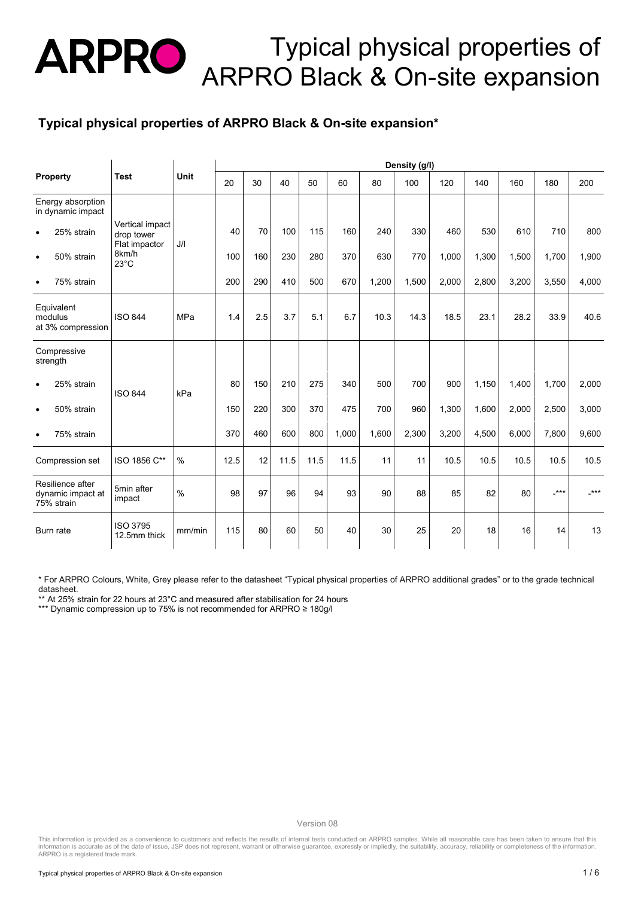#### **Typical physical properties of ARPRO Black & On-site expansion\***

| Property                                            | <b>Test</b>                                                               | Unit          | Density (g/l) |     |      |       |       |       |       |       |       |       |       |       |
|-----------------------------------------------------|---------------------------------------------------------------------------|---------------|---------------|-----|------|-------|-------|-------|-------|-------|-------|-------|-------|-------|
|                                                     |                                                                           |               | 20            | 30  | 40   | 50    | 60    | 80    | 100   | 120   | 140   | 160   | 180   | 200   |
| Energy absorption<br>in dynamic impact              | Vertical impact<br>drop tower<br>Flat impactor<br>8km/h<br>$23^{\circ}$ C | J/I           |               |     |      |       |       |       |       |       |       |       |       |       |
| 25% strain<br>$\bullet$                             |                                                                           |               | 40            | 70  | 100  | 115   | 160   | 240   | 330   | 460   | 530   | 610   | 710   | 800   |
| 50% strain<br>$\bullet$                             |                                                                           |               | 100           | 160 | 230  | 280   | 370   | 630   | 770   | 1,000 | 1,300 | 1,500 | 1,700 | 1,900 |
| 75% strain<br>$\bullet$                             |                                                                           |               | 200           | 290 | 410  | 500   | 670   | 1,200 | 1,500 | 2,000 | 2,800 | 3,200 | 3,550 | 4,000 |
| Equivalent<br>modulus<br>at 3% compression          | <b>ISO 844</b>                                                            | MPa           | 1.4           | 2.5 | 3.7  | 5.1   | 6.7   | 10.3  | 14.3  | 18.5  | 23.1  | 28.2  | 33.9  | 40.6  |
| Compressive<br>strength                             | <b>ISO 844</b><br>kPa                                                     |               |               |     |      |       |       |       |       |       |       |       |       |       |
| 25% strain<br>$\bullet$                             |                                                                           |               | 80            | 150 | 210  | 275   | 340   | 500   | 700   | 900   | 1,150 | 1,400 | 1,700 | 2,000 |
| 50% strain<br>$\bullet$                             |                                                                           |               | 150           | 220 | 300  | 370   | 475   | 700   | 960   | 1,300 | 1,600 | 2,000 | 2,500 | 3,000 |
| 75% strain<br>$\bullet$                             |                                                                           | 370           | 460           | 600 | 800  | 1,000 | 1,600 | 2,300 | 3,200 | 4,500 | 6,000 | 7,800 | 9,600 |       |
| Compression set                                     | ISO 1856 C**                                                              | $\%$          | 12.5          | 12  | 11.5 | 11.5  | 11.5  | 11    | 11    | 10.5  | 10.5  | 10.5  | 10.5  | 10.5  |
| Resilience after<br>dynamic impact at<br>75% strain | 5min after<br>impact                                                      | $\frac{0}{0}$ | 98            | 97  | 96   | 94    | 93    | 90    | 88    | 85    | 82    | 80    | $***$ | $***$ |
| Burn rate                                           | <b>ISO 3795</b><br>12.5mm thick                                           | mm/min        | 115           | 80  | 60   | 50    | 40    | 30    | 25    | 20    | 18    | 16    | 14    | 13    |

\* For ARPRO Colours, White, Grey please refer to the datasheet "Typical physical properties of ARPRO additional grades" or to the grade technical datasheet.

\*\* At 25% strain for 22 hours at 23°C and measured after stabilisation for 24 hours

\*\*\* Dynamic compression up to 75% is not recommended for ARPRO ≥ 180g/l

Version 08<br>This information is provided as a convenience to customers and reflects the results of internal tests conducted on ARPRO samples. While all reasonable care has been taken to ensure that this<br>Information is accur ARPRO is a registered trade mark.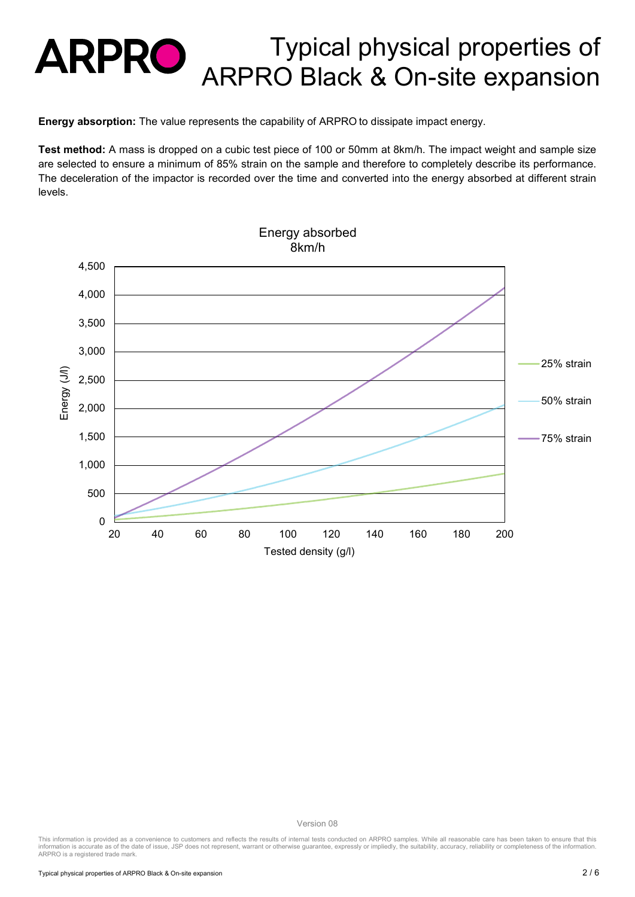**Energy absorption:** The value represents the capability of ARPRO to dissipate impact energy.

**Test method:** A mass is dropped on a cubic test piece of 100 or 50mm at 8km/h. The impact weight and sample size are selected to ensure a minimum of 85% strain on the sample and therefore to completely describe its performance. The deceleration of the impactor is recorded over the time and converted into the energy absorbed at different strain levels.



Version 08

This information is provided as a convenience to customers and reflects the results of internal tests conducted on ARPRO samples. While all reasonable care has been taken to ensure that this<br>information is accurate as of t ARPRO is a registered trade mark.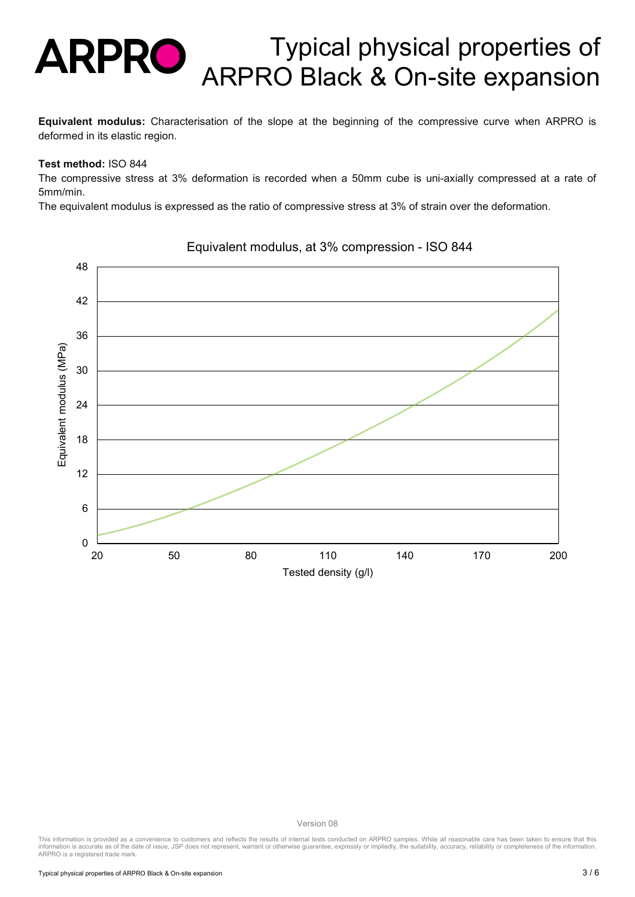**Equivalent modulus:** Characterisation of the slope at the beginning of the compressive curve when ARPRO is deformed in its elastic region.

#### **Test method:** ISO 844

The compressive stress at 3% deformation is recorded when a 50mm cube is uni-axially compressed at a rate of 5mm/min.

The equivalent modulus is expressed as the ratio of compressive stress at 3% of strain over the deformation.



#### Equivalent modulus, at 3% compression - ISO 844

Version 08

This information is provided as a convenience to customers and reflects the results of internal tests conducted on ARPRO samples. While all reasonable care has been taken to ensure that this<br>information is accurate as of t ARPRO is a registered trade mark.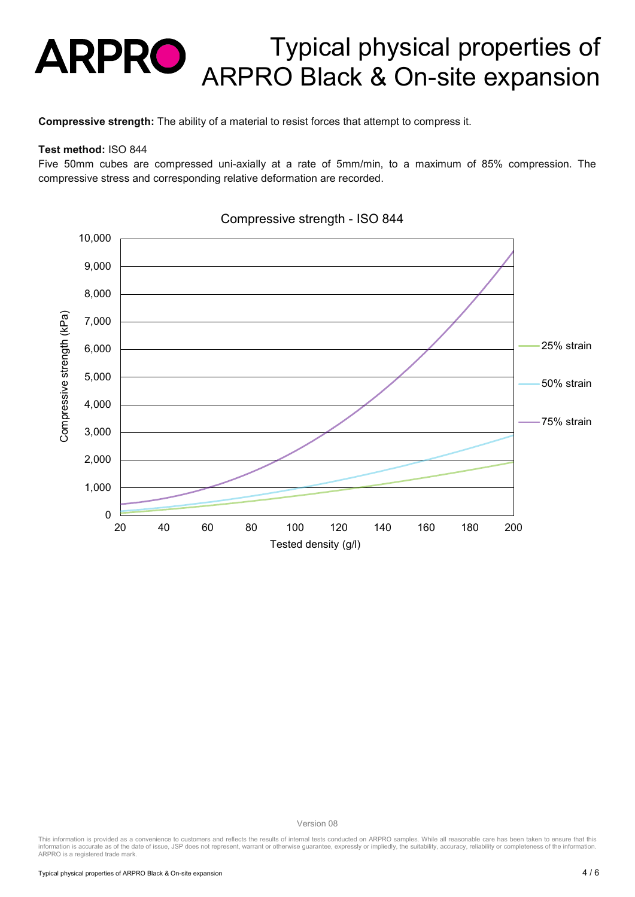**Compressive strength:** The ability of a material to resist forces that attempt to compress it.

#### **Test method:** ISO 844

Five 50mm cubes are compressed uni-axially at a rate of 5mm/min, to a maximum of 85% compression. The compressive stress and corresponding relative deformation are recorded.



Compressive strength - ISO 844

Version 08<br>This information is provided as a convenience to customers and reflects the results of internal tests conducted on ARPRO samples. While all reasonable care has been taken to ensure that this<br>Information is accur ARPRO is a registered trade mark.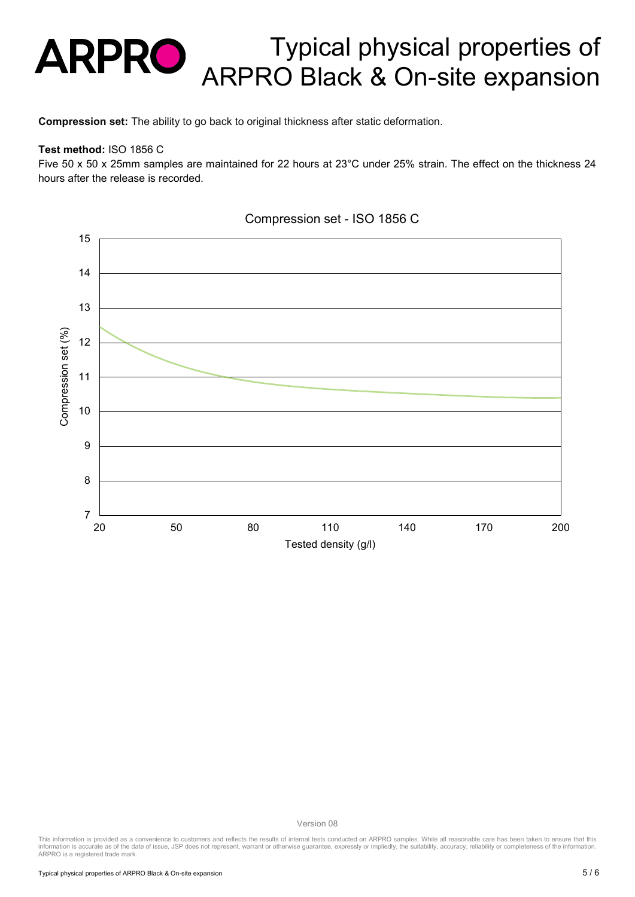**Compression set:** The ability to go back to original thickness after static deformation.

#### **Test method:** ISO 1856 C

Five 50 x 50 x 25mm samples are maintained for 22 hours at 23°C under 25% strain. The effect on the thickness 24 hours after the release is recorded.



#### Compression set - ISO 1856 C

Version 08<br>This information is provided as a convenience to customers and reflects the results of internal tests conducted on ARPRO samples. While all reasonable care has been taken to ensure that this<br>Information is accur ARPRO is a registered trade mark.